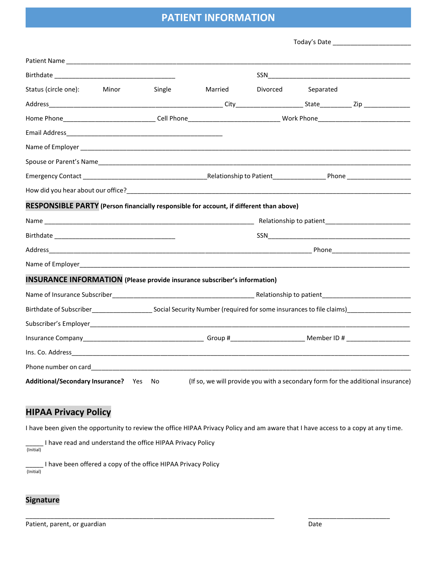## **PATIENT INFORMATION**

| Today's Date |
|--------------|
|--------------|

| Status (circle one):                                                                                      | Minor | Single | Married | Divorced | Separated |                                                                                 |  |
|-----------------------------------------------------------------------------------------------------------|-------|--------|---------|----------|-----------|---------------------------------------------------------------------------------|--|
|                                                                                                           |       |        |         |          |           |                                                                                 |  |
|                                                                                                           |       |        |         |          |           |                                                                                 |  |
|                                                                                                           |       |        |         |          |           |                                                                                 |  |
|                                                                                                           |       |        |         |          |           |                                                                                 |  |
|                                                                                                           |       |        |         |          |           |                                                                                 |  |
|                                                                                                           |       |        |         |          |           |                                                                                 |  |
|                                                                                                           |       |        |         |          |           |                                                                                 |  |
| RESPONSIBLE PARTY (Person financially responsible for account, if different than above)                   |       |        |         |          |           |                                                                                 |  |
|                                                                                                           |       |        |         |          |           |                                                                                 |  |
|                                                                                                           |       |        |         |          |           |                                                                                 |  |
|                                                                                                           |       |        |         |          |           |                                                                                 |  |
|                                                                                                           |       |        |         |          |           |                                                                                 |  |
| <b>INSURANCE INFORMATION</b> (Please provide insurance subscriber's information)                          |       |        |         |          |           |                                                                                 |  |
|                                                                                                           |       |        |         |          |           |                                                                                 |  |
| Birthdate of Subscriber entering the Social Security Number (required for some insurances to file claims) |       |        |         |          |           |                                                                                 |  |
|                                                                                                           |       |        |         |          |           |                                                                                 |  |
|                                                                                                           |       |        |         |          |           |                                                                                 |  |
|                                                                                                           |       |        |         |          |           |                                                                                 |  |
|                                                                                                           |       |        |         |          |           |                                                                                 |  |
| Additional/Secondary Insurance? Yes No                                                                    |       |        |         |          |           | (If so, we will provide you with a secondary form for the additional insurance) |  |

## **HIPAA Privacy Policy**

I have been given the opportunity to review the office HIPAA Privacy Policy and am aware that I have access to a copy at any time.

\_\_\_\_\_\_\_\_\_\_\_\_\_\_\_\_\_\_\_\_\_\_\_\_\_\_\_\_\_\_\_\_\_\_\_\_\_\_\_\_\_\_\_\_\_\_\_\_\_\_\_\_\_\_\_\_\_\_\_\_\_\_\_\_\_\_\_\_\_\_ \_\_\_\_\_\_\_\_\_\_\_\_\_\_\_\_\_\_\_\_\_\_\_

\_\_\_\_\_ I have read and understand the office HIPAA Privacy Policy

(Initial)

\_\_\_\_\_ I have been offered a copy of the office HIPAA Privacy Policy (Initial)

#### **Signature**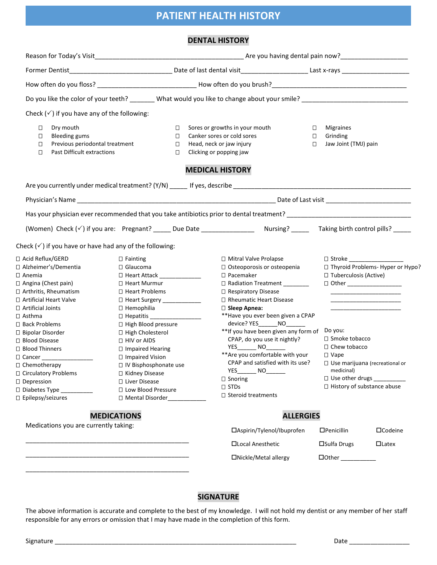## **PATIENT HEALTH HISTORY**

#### **DENTAL HISTORY**

| Check $(\checkmark)$ if you have any of the following:                                                                                                                                                                                                                                                                                                                                                                             |                                                                                                                                                                                                                                                                                                                                                                                        |                                      |                                                                                                                                                                                                                                                                                                                                                                                                                                                                                                                                                                                      |                                                                                                                                                                                            |                                                                                                              |  |  |
|------------------------------------------------------------------------------------------------------------------------------------------------------------------------------------------------------------------------------------------------------------------------------------------------------------------------------------------------------------------------------------------------------------------------------------|----------------------------------------------------------------------------------------------------------------------------------------------------------------------------------------------------------------------------------------------------------------------------------------------------------------------------------------------------------------------------------------|--------------------------------------|--------------------------------------------------------------------------------------------------------------------------------------------------------------------------------------------------------------------------------------------------------------------------------------------------------------------------------------------------------------------------------------------------------------------------------------------------------------------------------------------------------------------------------------------------------------------------------------|--------------------------------------------------------------------------------------------------------------------------------------------------------------------------------------------|--------------------------------------------------------------------------------------------------------------|--|--|
| Dry mouth<br>$\Box$<br><b>Bleeding gums</b><br>$\Box$<br>Previous periodontal treatment<br>$\Box$<br>Past Difficult extractions<br>$\Box$                                                                                                                                                                                                                                                                                          |                                                                                                                                                                                                                                                                                                                                                                                        | $\Box$<br>$\Box$<br>$\Box$<br>$\Box$ | Sores or growths in your mouth<br>Canker sores or cold sores<br>Head, neck or jaw injury<br>Clicking or popping jaw                                                                                                                                                                                                                                                                                                                                                                                                                                                                  | $\Box$<br><b>Migraines</b><br>$\Box$<br>Grinding<br>Jaw Joint (TMJ) pain<br>$\Box$                                                                                                         |                                                                                                              |  |  |
|                                                                                                                                                                                                                                                                                                                                                                                                                                    |                                                                                                                                                                                                                                                                                                                                                                                        |                                      | <b>MEDICAL HISTORY</b>                                                                                                                                                                                                                                                                                                                                                                                                                                                                                                                                                               |                                                                                                                                                                                            |                                                                                                              |  |  |
|                                                                                                                                                                                                                                                                                                                                                                                                                                    |                                                                                                                                                                                                                                                                                                                                                                                        |                                      |                                                                                                                                                                                                                                                                                                                                                                                                                                                                                                                                                                                      |                                                                                                                                                                                            |                                                                                                              |  |  |
|                                                                                                                                                                                                                                                                                                                                                                                                                                    |                                                                                                                                                                                                                                                                                                                                                                                        |                                      |                                                                                                                                                                                                                                                                                                                                                                                                                                                                                                                                                                                      |                                                                                                                                                                                            |                                                                                                              |  |  |
|                                                                                                                                                                                                                                                                                                                                                                                                                                    |                                                                                                                                                                                                                                                                                                                                                                                        |                                      |                                                                                                                                                                                                                                                                                                                                                                                                                                                                                                                                                                                      |                                                                                                                                                                                            |                                                                                                              |  |  |
|                                                                                                                                                                                                                                                                                                                                                                                                                                    |                                                                                                                                                                                                                                                                                                                                                                                        |                                      | (Women) Check (v') if you are: Pregnant? _____ Due Date _________________ Nursing? ______ Taking birth control pills? _____                                                                                                                                                                                                                                                                                                                                                                                                                                                          |                                                                                                                                                                                            |                                                                                                              |  |  |
| Check $(\checkmark)$ if you have or have had any of the following:                                                                                                                                                                                                                                                                                                                                                                 |                                                                                                                                                                                                                                                                                                                                                                                        |                                      |                                                                                                                                                                                                                                                                                                                                                                                                                                                                                                                                                                                      |                                                                                                                                                                                            |                                                                                                              |  |  |
| □ Acid Reflux/GERD<br>□ Alzheimer's/Dementia<br>$\square$ Anemia<br>□ Angina (Chest pain)<br>□ Arthritis, Rheumatism<br>□ Artificial Heart Valve<br>□ Artificial Joints<br>$\square$ Asthma<br>□ Back Problems<br>□ Bipolar Disorder<br>□ Blood Disease<br>□ Blood Thinners<br>□ Cancer ___________________<br>□ Chemotherapy<br>□ Circulatory Problems<br>D Depression<br>$\Box$ Diabetes Type ___________<br>□ Epilepsy/seizures | $\square$ Fainting<br>□ Glaucoma<br>□ Heart Attack ______________<br>□ Heart Murmur<br>□ Heart Problems<br>□ Heart Surgery ____________<br>$\Box$ Hemophilia<br>□ High Blood pressure<br>□ High Cholesterol<br>□ HIV or AIDS<br>□ Impaired Hearing<br>□ Impaired Vision<br>□ IV Bisphosphonate use<br>□ Kidney Disease<br>□ Liver Disease<br>□ Low Blood Pressure<br>□ Mental Disorder |                                      | □ Mitral Valve Prolapse<br>□ Osteoporosis or osteopenia<br>$\square$ Pacemaker<br>□ Radiation Treatment ________<br>□ Respiratory Disease<br>□ Rheumatic Heart Disease<br>$\square$ Sleep Apnea:<br>** Have you ever been given a CPAP<br>device? YES________ NO_______<br>** If you have been given any form of<br>CPAP, do you use it nightly?<br>YES__________ NO________<br>** Are you comfortable with your<br>CPAP and satisfied with its use?<br>$\overline{\phantom{0}}$ NO $\overline{\phantom{0}}$<br>YES<br>$\Box$ Snoring<br>$\square$ STDs<br>$\Box$ Steroid treatments | $\Box$ Stroke<br>□ Tuberculosis (Active)<br>□ Other ____________________<br>Do you:<br>□ Smoke tobacco<br>□ Chew tobacco<br>$\Box$ Vape<br>medicinal)<br>$\Box$ History of substance abuse | □ Thyroid Problems- Hyper or Hypo?<br>$\Box$ Use marijuana (recreational or<br>$\Box$ Use other drugs $\Box$ |  |  |
| <b>MEDICATIONS</b>                                                                                                                                                                                                                                                                                                                                                                                                                 |                                                                                                                                                                                                                                                                                                                                                                                        |                                      | <b>ALLERGIES</b>                                                                                                                                                                                                                                                                                                                                                                                                                                                                                                                                                                     |                                                                                                                                                                                            |                                                                                                              |  |  |
| Medications you are currently taking:                                                                                                                                                                                                                                                                                                                                                                                              |                                                                                                                                                                                                                                                                                                                                                                                        |                                      | □Aspirin/Tylenol/Ibuprofen                                                                                                                                                                                                                                                                                                                                                                                                                                                                                                                                                           | $\Box$ Penicillin                                                                                                                                                                          | □Codeine                                                                                                     |  |  |
|                                                                                                                                                                                                                                                                                                                                                                                                                                    |                                                                                                                                                                                                                                                                                                                                                                                        |                                      | □Local Anesthetic                                                                                                                                                                                                                                                                                                                                                                                                                                                                                                                                                                    | $\square$ Sulfa Drugs                                                                                                                                                                      | $\Box$ Latex                                                                                                 |  |  |
|                                                                                                                                                                                                                                                                                                                                                                                                                                    |                                                                                                                                                                                                                                                                                                                                                                                        |                                      |                                                                                                                                                                                                                                                                                                                                                                                                                                                                                                                                                                                      |                                                                                                                                                                                            |                                                                                                              |  |  |

### **SIGNATURE**

The above information is accurate and complete to the best of my knowledge. I will not hold my dentist or any member of her staff responsible for any errors or omission that I may have made in the completion of this form.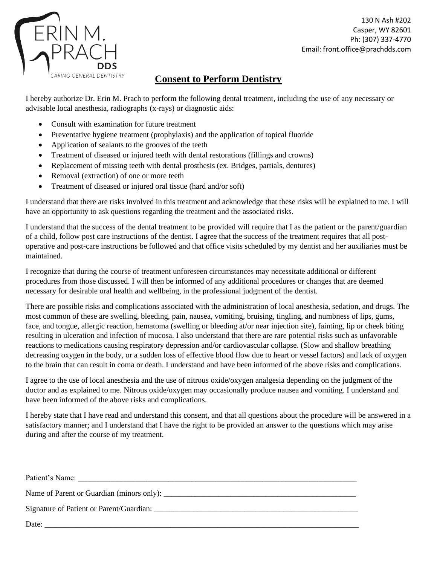

130 N Ash #202 Casper, WY 82601 Ph: (307) 337-4770 Email: front.office@prachdds.com

## **Consent to Perform Dentistry**

I hereby authorize Dr. Erin M. Prach to perform the following dental treatment, including the use of any necessary or advisable local anesthesia, radiographs (x-rays) or diagnostic aids:

- Consult with examination for future treatment
- Preventative hygiene treatment (prophylaxis) and the application of topical fluoride
- Application of sealants to the grooves of the teeth
- Treatment of diseased or injured teeth with dental restorations (fillings and crowns)
- Replacement of missing teeth with dental prosthesis (ex. Bridges, partials, dentures)
- Removal (extraction) of one or more teeth
- Treatment of diseased or injured oral tissue (hard and/or soft)

I understand that there are risks involved in this treatment and acknowledge that these risks will be explained to me. I will have an opportunity to ask questions regarding the treatment and the associated risks.

I understand that the success of the dental treatment to be provided will require that I as the patient or the parent/guardian of a child, follow post care instructions of the dentist. I agree that the success of the treatment requires that all postoperative and post-care instructions be followed and that office visits scheduled by my dentist and her auxiliaries must be maintained.

I recognize that during the course of treatment unforeseen circumstances may necessitate additional or different procedures from those discussed. I will then be informed of any additional procedures or changes that are deemed necessary for desirable oral health and wellbeing, in the professional judgment of the dentist.

There are possible risks and complications associated with the administration of local anesthesia, sedation, and drugs. The most common of these are swelling, bleeding, pain, nausea, vomiting, bruising, tingling, and numbness of lips, gums, face, and tongue, allergic reaction, hematoma (swelling or bleeding at/or near injection site), fainting, lip or cheek biting resulting in ulceration and infection of mucosa. I also understand that there are rare potential risks such as unfavorable reactions to medications causing respiratory depression and/or cardiovascular collapse. (Slow and shallow breathing decreasing oxygen in the body, or a sudden loss of effective blood flow due to heart or vessel factors) and lack of oxygen to the brain that can result in coma or death. I understand and have been informed of the above risks and complications.

I agree to the use of local anesthesia and the use of nitrous oxide/oxygen analgesia depending on the judgment of the doctor and as explained to me. Nitrous oxide/oxygen may occasionally produce nausea and vomiting. I understand and have been informed of the above risks and complications.

I hereby state that I have read and understand this consent, and that all questions about the procedure will be answered in a satisfactory manner; and I understand that I have the right to be provided an answer to the questions which may arise during and after the course of my treatment.

| Patient's Name:                           |  |
|-------------------------------------------|--|
| Name of Parent or Guardian (minors only): |  |
|                                           |  |
| Date:                                     |  |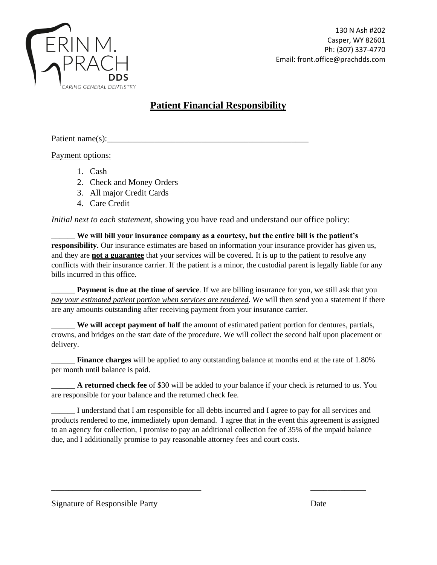

# **Patient Financial Responsibility**

#### Patient name(s):

Payment options:

- 1. Cash
- 2. Check and Money Orders
- 3. All major Credit Cards
- 4. Care Credit

*Initial next to each statement*, showing you have read and understand our office policy:

\_\_\_\_\_\_ **We will bill your insurance company as a courtesy, but the entire bill is the patient's responsibility.** Our insurance estimates are based on information your insurance provider has given us, and they are **not a guarantee** that your services will be covered. It is up to the patient to resolve any conflicts with their insurance carrier. If the patient is a minor, the custodial parent is legally liable for any bills incurred in this office.

**Payment is due at the time of service**. If we are billing insurance for you, we still ask that you *pay your estimated patient portion when services are rendered*. We will then send you a statement if there are any amounts outstanding after receiving payment from your insurance carrier.

\_\_\_\_\_\_ **We will accept payment of half** the amount of estimated patient portion for dentures, partials, crowns, and bridges on the start date of the procedure. We will collect the second half upon placement or delivery.

\_\_\_\_\_\_ **Finance charges** will be applied to any outstanding balance at months end at the rate of 1.80% per month until balance is paid.

\_\_\_\_\_\_ **A returned check fee** of \$30 will be added to your balance if your check is returned to us. You are responsible for your balance and the returned check fee.

I understand that I am responsible for all debts incurred and I agree to pay for all services and products rendered to me, immediately upon demand. I agree that in the event this agreement is assigned to an agency for collection, I promise to pay an additional collection fee of 35% of the unpaid balance due, and I additionally promise to pay reasonable attorney fees and court costs.

\_\_\_\_\_\_\_\_\_\_\_\_\_\_\_\_\_\_\_\_\_\_\_\_\_\_\_\_\_\_\_\_\_\_\_ \_\_\_\_\_\_\_\_\_\_\_\_\_

Signature of Responsible Party Date